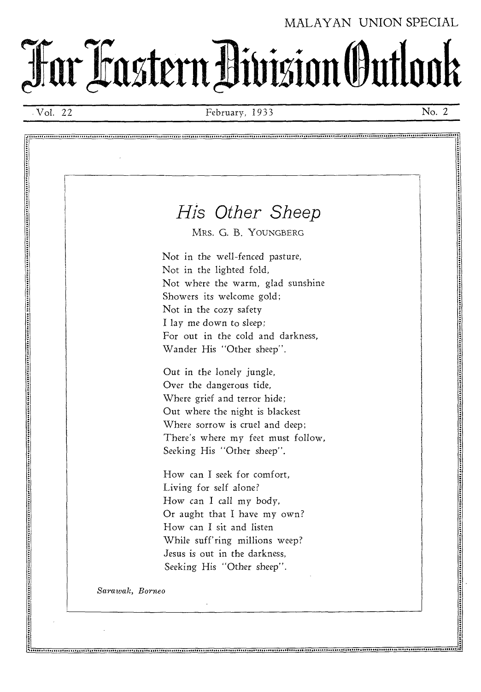### MALAYAN UNION SPECIAL

**TarratstentAVisionOuttook -**

Vol. 22 February, 1933 No. 2

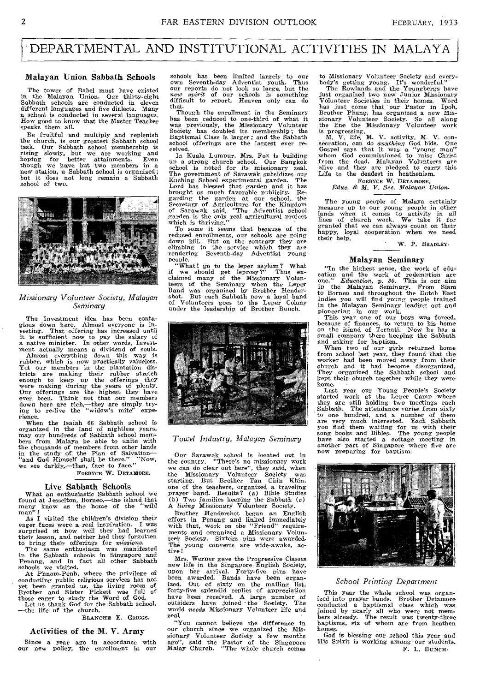### DEPARTMENTAL AND INSTITUTIONAL ACTIVITIES IN MALAYA

#### Malayan Union Sabbath Schools

The tower of Babel must have existed in the Malayan Union. Our thirty-eight Sabbath schools are conducted in eleven different languages and five dialects. Many a school is conducted in several languages. How good to know that the Master Teacher speaks them all.

Be fruitful and multiply and replenish<br>the church, is our greatest Sabbath school<br>task. Our Sabbath school membership is<br>rising slowly, but we are working and<br>hoping for better attainments. Even<br>though we have but two memb but it does not long remain a Sabbath school of two.



#### *Missionary Volunteer Society, Malayan Seminary*

The Investment idea has been contagious down here. Almost everyone is in-vesting. That offering has increased until

it is sufficient now to pay the salary of<br>a native minister. In other words, Invest-<br>ment actually means a dividend of souls.<br>Almost everything down this way is<br>rubber, which is now practically valueless.<br>Yet our members i Our offerings are the highest they have ever been. Think not that our members are rich,—they are simply try-<br>hig to re-live the "widow's mite" expe-<br>ing to re-live the "widow's mite" experience.

When the Isaiah 66 Sabbath school is organized in the land of nightless years, may our hundreds of Sabbath school members from Malaya be able to unite with the thousands of members from other lands in the study of the Plan of Salvation— "and God Himself shall be there." "Now, we see darkly,—then, face to face."

FORDYCE W. DETAMORE.

#### Live Sabbath Schools

What an enthusiastic Sabbath school we found at Jesselton, Borneo,—the island that many know as the home of the "wild"<br>man"!

As I visited the children's division their eager faces were a real inspiration. I was surprised at how well they had learned their lesson, and neither had they forgotten to bring their offerings for *missions.* 

The same enthusiasm was manifested in the Sabbath schools in Singapore and Penang, and in fact all other Sabbath schools we visited.

At Phnom-Penh, where the privilege of conducting public religious services has not yet been granted us, the living room of Brother and Sister Pickett was full of those eager to study the Word of God.<br>Let us thank God for t

BLANCHE E. GRIGGS.

#### Activities of the M. V. Army

Since a year ago in accordance with new policy, the enrollment in our

schools has been limited largely to our own Seventh-day Adventist youth. Thus our reports do not look so large, but the *new spirit* of our schools is something difficult to report. Heaven only can do that.

Though the enrollment in the Seminary has been reduced to one-third of what it was previously, the Missionary Volunteer Society has doubled its membership; the Baptismal Class is larger ; and the Sabbath school offerings are the largest ever received.

In Kuala Lumpur, Mrs. Fox is building up a strong church school. Our Bangkok school is noted for its missionary zeal. The government of Sarawak subsidizes our Kuching School experimental garden. The Lord has blessed that garden and it *has*  brought us much favorable publicity. Re-garding the garden at our school, the Secretary of Agriculture for the Kingdom<br>of Sarawak said, "The Adventist school<br>garden is the only real agricultural project<br>which is thriving."<br>To some it seems that because of the

reduced enrollments, our schools are going down hill. But on the contrary they are climbing in the service which they are rendering Seventh-day Adventist young People.

What! go to the leper asylum? What<br>we should get leprosy?" Thus exif we should get leprosy?" Thus ex-<br>claimed many of the Missionary Waun-<br>teers of the Seminary when the Lepert<br>short. But each Sabbath now a loyal band<br>shot. But each Sabbath now a loyal band<br>of Volunteers goes to the Lepe



*Towel Industry, Malayan Seminary* 

Our Sarawak school is located out in the country. "There's no missionary work the country. "There's no missionary work<br>we can do clear out here", they said, when the Missionary Volunteer Society was starting. But Brother Tan Chin Khin, one of the teachers, organized a traveling prayer band. Results? (a) Bible Studies (b) Two families keeping the Sabbath  $(c)$ (b) Two families keeping the Sabbath (c) A *living* Missionary Volunteer Society.

Brother Hendershot began an English effort in Penang and linked immediately with that, work on the "Friend" requirements and organized a Missionary Volunteer Society. Sixteen pins were awarded. young converts are wide-awake, active!

Mrs. Werner gave the Progressive Classes new life in the Singapore English Society, upon her arrival. Forty-five pins have been awarded. Bands have been organ-<br>ized. Out of sixty on the mailing list. ized. Out of sixty on the mailing list, forty-five splendid replies of appreciation have been received. A large number of outsiders have joined the Society. The world *needs* Missionary Volunteer life and zeal.

"You cannot believe the difference in our church since we organized the Mis-sionary Volunteer Society a few months ago", said the Pastor of the Singapore Malay Church. "The whole church comes

to Missionary Volunteer Society and every-body's getting young. It's wonderful." The Rowlands and the Youngbergs have just organized two new Junior Missionary Volunteer Societies in their homes. Word has just come that our Pastor in Ipoh, Brother Phang, has organized a new Mis-sionary Volunteer Society. So all along the line the Missionary Volunteer work

is progressing.<br>
M. V. life, M. V. activity, M. V. con-<br>
secration, can do *anything* God bids. One<br>
Gospel says that it was a "young man"<br>
whom God commissioned to raise Christ<br>
from the dead. Malayan Volunteers are alive and they are pledged to carry this Life to the deadest in heathenism.

FORDYCE W. DETAMORE,

*Educ. & M. V. Sec. Malayan Union.* 

The young people of Malaya certainly measure up to our young people in other lands when it comes to activity in all lines of church work. We take it for granted that we can always count on their happy, loyal cooperation when we need<br>their help.

W. P. BRADLEY.

#### Malayan Seminary

"In the highest sense, the work of education and the work of redemption are one." *Education, p. 30.* This is our aim in the Malayan Seminary. From Siam to Borneo and throughout the Dutch East Indies you will find young people trained in the Malayan Seminary leading out and

pioneering in our work.<br>
This year one of our boys was forced,<br>
because of finances, to return to his home<br>
on the island of Ternati. Now he has a<br>
small company there keeping the Sabbath

and asking for baptism. When two of our girls returned home from school last year, they found that the worker had been moved away from their church and it had become disorganized. They organized the Sabbath school and kept their church together while they were

home.<br>
Last year our Young People's Society<br>
started work at the Leper Camp where<br>
they are still holding two meetings each<br>
Sabbath. The attendance varies from sixty to one hundred, and a number of them are very much interested. Each Sabbath you find them you find them with their some pools and Bibles. The young people have also started a cottage meeting in another part of Singapore wh now preparing for baptism.



#### *School Printing Department*

This year the whole school was organized into prayer bands. Brother Detamore conducted a baptismal class which was joined by nearly all who were not mem-bers already. The result was twenty-three baptisms, six of whom are from heathen

homes. God is blessing our school this year and His Spirit is working among our students. F. L. BUNCH•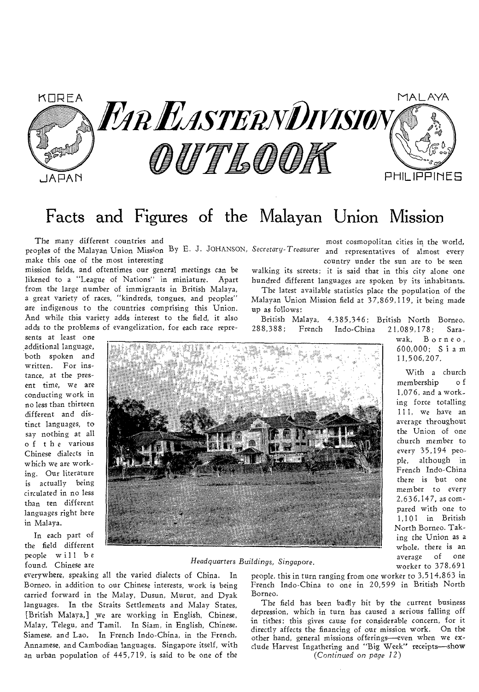

## Facts and Figures of the Malayan Union Mission

The many different countries and

peoples of the Malayan Union Mission By E. J. JOHANSON, *Secretary- Treasurer* and representatives of almost every make this one of the most interesting

mission fields, and oftentimes our general meetings can be likened to a "League of Nations" in miniature. Apart from the large number of immigrants in British Malaya, a great variety of races, "kindreds, tongues, and peoples" are indigenous to the countries comprising this Union. And while this variety adds interest to the field, it also adds to the problems of evangelization, for each race repre-

sents at least one additional language, both spoken and written. For instance, at the present time, we are conducting work in no less than thirteen different and distinct languages, to say nothing at all of the various Chinese dialects in which we are working. Our literature is actually being circulated in no less than ten different languages right here in Malaya.

In each part of the field different people will be found. Chinese are

most cosmopolitan cities in the world, country under the sun are to be seen

walking its streets; it is said that in this city alone one hundred different languages are spoken by its inhabitants.

The latest available statistics place the population of the Malayan Union Mission field at 37,869,119, it being made up as follows:

British Malaya, 4,385,346; British North Borneo,

21,089,178; Sarawak, Borneo, 600,000; Siam 11,506,207.

With a church membership o f 1,076, and a working force totalling 111, we have an average throughout the Union of one church member to every 35,194 people, although in French Indo-China there is but one member to every 2,636,147, as compared with one to 1,101 in British North Borneo. Taking the Union as a whole, there is an average of one worker to 378,691

#### *Headquarters Buildings,* Singapore.

everywhere, speaking all the varied dialects of China. In Borneo, in addition to our Chinese interests, work is being carried forward in the Malay, Dusun, Murut, and Dyak languages. In the Straits Settlements and Malay States, [British Malaya,} we are working in English, Chinese, Malay, Telegu, and Tamil. In Siam, in English, Chinese, Siamese, and Lao. In French Indo-China, in the French, Annamese, and Cambodian languages. Singapore itself, with an urban population of 445,719, is said to be one of the

people, this in turn ranging from one worker to 3,514,863 in French Indo-China to one in 20,599 in British North Borneo.

The field has been badly hit by the current business depression, which in turn has caused a serious falling off in tithes; this gives cause for considerable concern, for it directly affects the financing of our mission work. On the other hand, general missions offerings—even when we exclude Harvest Ingathering and "Big Week" receipts—show *(Continued on page 12)*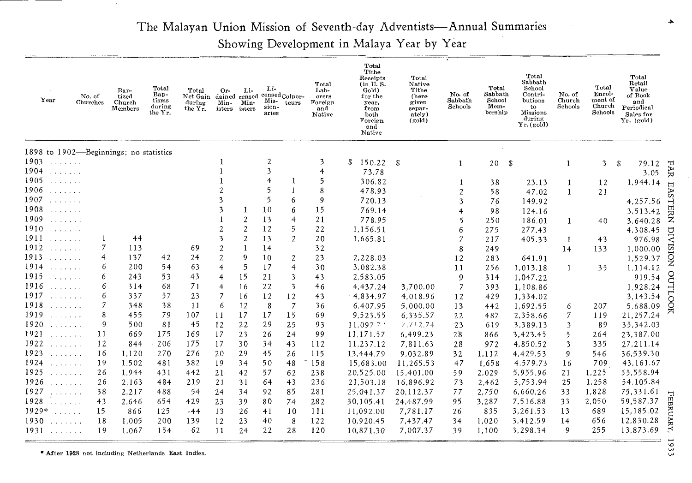## The Malayan Union Mission of Seventh-day Adventists—Annual Summaries

Showing Development in Malaya Year by Year

| Year                                                                                                                             | No. of<br>Churches     | Bap-<br>tized<br>Church<br>Members | Total<br>Bap-<br>tisms<br>during<br>the Yr. | Total<br>Net Gain dained censed<br>during<br>the Yr. | Or-<br>Min-<br>isters   | Li-<br>Min-<br>isters | Li-<br>Mis-<br>sion-<br>aries | censed Colpor-<br>teurs | Total<br>Lab-<br>orers<br>Foreign<br>and<br>Native | Total<br>Tithe<br>Receipts<br>(in U.S.<br>Gold)<br>for the<br>year.<br>trom<br>both<br>Foreign<br>and<br>Native | Total<br>Native<br>Tithe<br>(here<br>given<br>separ-<br>ately)<br>(gold) | No. of<br>${\rm Sabbath}$<br>Schools | Total<br>Sabbath<br>School<br>Mem-<br>bership | Total<br>Sabbath<br>School<br>Contri-<br>butions<br>to<br>Missions<br>during<br>Yr. (gold) | No. of<br>Church<br>Schools | Total<br>Enrol-<br>$_{\rm ment}$ of<br>Church<br>Schools | Total<br>Retail<br>Value<br>of Book<br>and<br>Periodical<br>Sales for<br>Yr. (gold) |             |
|----------------------------------------------------------------------------------------------------------------------------------|------------------------|------------------------------------|---------------------------------------------|------------------------------------------------------|-------------------------|-----------------------|-------------------------------|-------------------------|----------------------------------------------------|-----------------------------------------------------------------------------------------------------------------|--------------------------------------------------------------------------|--------------------------------------|-----------------------------------------------|--------------------------------------------------------------------------------------------|-----------------------------|----------------------------------------------------------|-------------------------------------------------------------------------------------|-------------|
| 1898 to 1902-Beginnings; no statistics                                                                                           |                        |                                    |                                             |                                                      |                         |                       |                               |                         |                                                    |                                                                                                                 |                                                                          |                                      |                                               |                                                                                            |                             |                                                          |                                                                                     |             |
| 1903<br>1.1.1.1.1.1.1                                                                                                            |                        |                                    |                                             |                                                      |                         |                       | $\overline{2}$                |                         | 3                                                  | \$<br>150.22                                                                                                    | - \$                                                                     | 1                                    | 20                                            | - \$                                                                                       | 1                           | 3                                                        | S<br>79.12                                                                          |             |
| 1904<br>and a strainer                                                                                                           |                        |                                    |                                             |                                                      |                         |                       | 3                             |                         | $\overline{4}$                                     | 73.78                                                                                                           |                                                                          |                                      |                                               |                                                                                            |                             |                                                          | 3.05                                                                                | FAR         |
| 1905<br>a dia salah sa                                                                                                           |                        |                                    |                                             |                                                      |                         |                       | 4                             |                         | 5                                                  | 306.82                                                                                                          |                                                                          |                                      | 38                                            | 23.13                                                                                      | 1                           | 12                                                       | 1,944.14                                                                            | $\Box$      |
| 1906<br>$\mathcal{L}^{\mathcal{A}}$ . The set of the $\mathcal{A}$                                                               |                        |                                    |                                             |                                                      |                         |                       | 5                             | $\mathbf{1}$            | 8                                                  | 478.93                                                                                                          |                                                                          | 2                                    | 58                                            | 47.02                                                                                      | $\mathbf{1}$                | 21                                                       |                                                                                     | 88          |
| 1907<br>$\mathcal{L}$ . The set of the $\mathcal{L}$                                                                             |                        |                                    |                                             |                                                      | 3                       |                       | 5                             | 6                       | 9                                                  | 720.13                                                                                                          |                                                                          | 3                                    | 76                                            | 149.92                                                                                     |                             |                                                          | 4,257.56                                                                            |             |
| 1908<br>$\mathcal{L}$ . The set of the $\mathcal{L}$                                                                             |                        |                                    |                                             |                                                      | 3                       | 1                     | 10                            | 6                       | 15                                                 | 769.14                                                                                                          |                                                                          | 4                                    | 98                                            | 124.16                                                                                     |                             |                                                          | 3,513.42                                                                            | <b>TERN</b> |
| 1909<br>$\mathcal{L}$ . The set of the $\mathcal{L}$                                                                             |                        |                                    |                                             |                                                      |                         | 2                     | 13                            | 4                       | 21                                                 | 778.95                                                                                                          |                                                                          | 5                                    | 250                                           | 186.01                                                                                     | $\mathbf{1}$                | 40                                                       | 3,640.28                                                                            |             |
| 1910<br>1.1.1.1.1.1                                                                                                              |                        |                                    |                                             |                                                      | $\overline{c}$          | 2                     | 12                            | 5                       | 22                                                 | 1,156.51                                                                                                        |                                                                          | 6                                    | 275                                           | 277.43                                                                                     |                             |                                                          | 4,308.45                                                                            |             |
| 1911<br>1.1.1.1.1.1.1                                                                                                            |                        | 44                                 |                                             |                                                      | 3                       | $\overline{c}$        | 13                            | $\overline{2}$          | 20                                                 | 1,665.81                                                                                                        |                                                                          |                                      | 217                                           | 405.33                                                                                     | -1                          | 43                                                       | 976.98                                                                              | DIV         |
| 1912<br>a dia ang pag-                                                                                                           | 7                      | 113                                |                                             | 69                                                   | $\overline{c}$          | 1                     | 14                            |                         | 32                                                 |                                                                                                                 |                                                                          | 8                                    | 249                                           |                                                                                            | 14                          | 133                                                      | 1,000.00                                                                            |             |
| 1913                                                                                                                             | 4                      | 137                                | 42                                          | 24                                                   | $\overline{c}$          | 9                     | 10                            | $\boldsymbol{2}$        | 23                                                 | 2,228.03                                                                                                        |                                                                          | 12                                   | 283                                           | 641.91                                                                                     |                             |                                                          | 1,529.37                                                                            | xoisi       |
| 1914<br>and a share and                                                                                                          | 6                      | 200                                | 54                                          | 63                                                   | $\overline{4}$          | 5                     | 17                            | $\overline{4}$          | 30                                                 | 3,082.38                                                                                                        |                                                                          | 11                                   | 256                                           | 1,013.18                                                                                   | 1                           | 35                                                       | 1.114.12                                                                            |             |
| 1915<br>a sa sa sala                                                                                                             | 6                      | 243                                | 53                                          | 43                                                   | 4                       | 15                    | 21                            | 3                       | 43                                                 | 2,583.05                                                                                                        |                                                                          | 9                                    | 314                                           | 1,047.22                                                                                   |                             |                                                          | 919.54                                                                              | g           |
| 1916<br>a prava a la                                                                                                             | 6                      | 314                                | 68                                          | 71                                                   | $\overline{\mathbf{r}}$ | 16                    | 22                            | 3                       | 46                                                 | 4.437.24                                                                                                        | 3,700.00                                                                 | $\overline{7}$                       | 393                                           | 1,108.86                                                                                   |                             |                                                          | 1,928.24                                                                            | СII         |
| 1917<br>and a share and                                                                                                          | 6                      | 337                                | 57                                          | 23                                                   | $\overline{7}$          | 16                    | 12                            | 12                      | 43                                                 | $-4,834.97$                                                                                                     | 4,018.96                                                                 | 12                                   | 429                                           | 1,334.02                                                                                   |                             |                                                          | 3,143.54                                                                            |             |
| 1918<br>a sua alasa                                                                                                              | 7                      | 348                                | 38                                          | 11                                                   | 6                       | 12                    | 8                             | $\overline{7}$          | 36                                                 | 6,407.95                                                                                                        | 5,000.00                                                                 | 13                                   | 442                                           | 1,692.55                                                                                   | 6                           | 207                                                      | 5,688.09                                                                            | Ř           |
| 1919<br>a shekara ta                                                                                                             | 8                      | 455                                | 79                                          | 107                                                  | 11                      | 17                    | 17                            | 15                      | 69                                                 | 9,523.55                                                                                                        | 6,335.57                                                                 | 22                                   | 487                                           | 2,358.66                                                                                   | 7                           | 119                                                      | 21,257.24                                                                           |             |
| 1920<br>1.1.1.1.1.1.1                                                                                                            | 9                      | 500                                | 81                                          | 45                                                   | 12                      | 22                    | 29                            | 25                      | 93                                                 | 11,097.7                                                                                                        | 7,712.74                                                                 | 23                                   | 619                                           | 3,389.13                                                                                   | 3                           | 89                                                       | 35,342.03                                                                           |             |
| 1921<br>.                                                                                                                        | 11                     | 669                                | 175                                         | 169                                                  | 17                      | 23                    | 26                            | 24                      | 99                                                 | 11,171.57                                                                                                       | 6,499.23                                                                 | 28                                   | 866                                           | 3,423.45                                                                                   | 5                           | 264                                                      | 23,387.00                                                                           |             |
| 1922                                                                                                                             | 12                     | 844                                | 206                                         | 175                                                  | 17                      | 30                    | 34                            | 43                      | 112                                                | 11,237.12                                                                                                       | 7,811.63                                                                 | 28                                   | 972                                           | 4,850.52                                                                                   | 3                           | 335                                                      | 27, 211.14                                                                          |             |
| 1923<br>1.1.1.1.1.1.1                                                                                                            | 16                     | 1,120                              | 270                                         | 276                                                  | 20                      | 29                    | 45                            | 26                      | 115                                                | 13,444.79                                                                                                       | 9,032.89                                                                 | 32                                   | 1,112                                         | 4,429.53                                                                                   | 9                           | 546                                                      | 36,539.30                                                                           |             |
| 1924<br>and a state                                                                                                              | 19                     | 1,502                              | 481                                         | 382                                                  | 19                      | 34                    | 50                            | 48                      | 158                                                | 15,683.00                                                                                                       | 11,265.53                                                                | 47                                   | 1,658                                         | 4,579.73                                                                                   | 16                          | 709                                                      | 43,161.67                                                                           |             |
| 1925<br>and a straight                                                                                                           | 26                     | 1,944                              | 431                                         | 442                                                  | 21                      | 42                    | 57                            | 62                      | 238                                                | 20,525.00                                                                                                       | 15,401.00                                                                | 59                                   | 2,029                                         | 5,955.96                                                                                   | 21                          | 1,225                                                    | 55,558.94                                                                           |             |
| 1926<br>.                                                                                                                        | 26                     | 2,163                              | 484                                         | 219                                                  | 21                      | 31                    | 64                            | 43                      | 236                                                | 21,503.18                                                                                                       | 16,896.92                                                                | 73                                   | 2,462                                         | 5,753.94                                                                                   | 25                          | 1,258                                                    | 54,105.84                                                                           |             |
| 1927<br>.                                                                                                                        | 38                     | 2.217                              | 488                                         | 54                                                   | 24                      | 34                    | 92                            | 85                      | 281                                                | 25.041.37                                                                                                       | 20.112.37                                                                | 77                                   | 2,750                                         | 6,660.26                                                                                   | 33                          | 1,828                                                    | 75,331.61                                                                           | 'n          |
| 1928                                                                                                                             | 43<br>And the Contract | 2.646                              | 654                                         | 429                                                  | 23                      | 39                    | 80                            | 74                      | 282                                                | 30,105.41                                                                                                       | 24.487.99                                                                | 95                                   | 3,287                                         | 7,516.88                                                                                   | 33                          | 2,050                                                    | 59,587.37                                                                           | EBRUAR      |
| $1929*$<br>$\mathcal{L}^{\mathcal{A}}$ , $\mathcal{L}^{\mathcal{A}}$ , $\mathcal{L}^{\mathcal{A}}$ , $\mathcal{L}^{\mathcal{A}}$ | 15                     | 866                                | 125                                         | $-44$                                                | 13                      | 26                    | 41                            | 10                      | 111                                                | 11,092.00                                                                                                       | 7,781.17                                                                 | 26                                   | 835                                           | 3,261.53                                                                                   | 13                          | 689                                                      | 15,185.02                                                                           |             |
| 1930<br>.                                                                                                                        | 18                     | 1.005                              | 200                                         | 139                                                  | 12                      | 23                    | 40                            | 8                       | 122                                                | 10.920.45                                                                                                       | 7,437.47                                                                 | 34                                   | 1,020                                         | 3,412.59                                                                                   | 14                          | 656                                                      | 12,830.28                                                                           | R           |
| 1931<br>and a share                                                                                                              | 19                     | 1.067                              | 154                                         | 62                                                   | 11                      | 24                    | 22                            | 28                      | 120                                                | 10,871.30                                                                                                       | 7,007.37                                                                 | 39                                   | 1,100                                         | 3,298.34                                                                                   | 9                           | 255                                                      | 13,873.69                                                                           |             |

• After 1928 not including Netherlands East Indies.

1933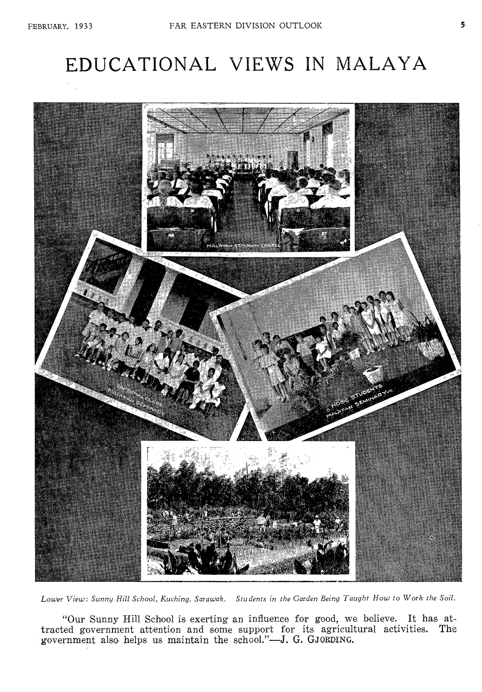# EDUCATIONAL VIEWS IN MALAYA



*Lower View: Sunny Hill School, Kuching, Sarawak. Students in the Garden Being Taught How to Work the Soil.* 

"Our Sunny Hill School is exerting an influence for good, we believe. It has attracted government attention and some support for its agricultural activities. The government also helps us maintain the school."—J. **G. GJORDING.**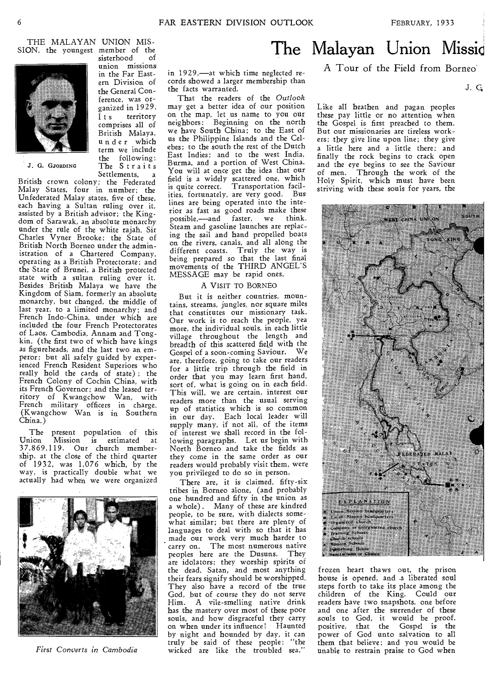THE MALAYAN UNION MIS-SION, the youngest member of the sisterhood



J. G. GJORDING

British crown colony; the Federated Malay States, four in number; the Unfederated Malay states, five of these, each having a Sultan ruling over it, assisted by a British advisor; the Kingdom of Sarawak, an absolute monarchy under the rule of the white rajah, Sir Charles Vyner Brooke; the State of British North Borneo under the administration of a Chartered Company, operating as a British Protectorate; and the State of Brunei, a British protected state with a sultan ruling over it. Besides British Malaya we have the Kingdom of Siam, formerly an absolute monarchy, but changed, the middle of last year, to a limited monarchy; and French Indo-China, under which are included the four French Protectorates of Laos, Cambodia, Annam and Tongkin, (the first two of which have kings as figureheads, and the last two an emperor; but all safely guided by experienced French Resident Superiors who really hold the cards of state) ; the French Colony of Cochin China, with its French Governor; and the leased territory of Kwangchow Wan, with French military officers in charge. (Kwangchow Wan is in Southern China.)

The present population of this Union Mission is estimated at 37,869,119. Our church member-ship, at the close of the third quarter of  $1932$ , was  $1,076$  which, by the way, is practically double what we actually had when we were organized



*First Converts in Cambodia* 

union missions in the Far Eastern Division of the General Conference, was organized in 1929. Its territory comprises all of British Malaya, under which term we include the following: The Straits Settlements.

in 1929,—at which time neglected records showed a larger membership than the facts warranted.

That the readers of the *Outlook*  may get a better idea of our position on the map, let us name to you our neighbors: Beginning on the north we have South China; to the East of us the Philippine Islands and the Celebes; to the south the rest of the Dutch East Indies; and to the west India, Burma, and a portion of West China. You will at once get the idea that our field is a widely scattered one, which is quite correct. Transportation facilities, fortunately, are very good. Bus lines are being operated into the interior as fast as good roads make these possible,—and faster, we think. Steam and gasoline launches are replacing the sail and hand propelled boats on the rivers, canals, and all along the different coasts. Truly the way is being prepared so that the last final movements of the THIRD ANGEL'S MESSAGE may be rapid ones.

#### A VISIT TO BORNEO

But it is neither countries, mountains, streams, jungles, nor square miles that constitutes our missionary task. Our work is to reach the people, yea more, the individual souls, in each little village throughout the length and breadth of this scattered field with the Gospel of a soon-coming Saviour. We are, therefore, going to take our readers for a little trip through the field in order that you may learn first hand, sort of, what is going on in each field. This will, we are certain, interest our readers more than the usual serving up of statistics which is so common in our day. Each local leader will supply many, if not all, of the items of interest we shall record in the following paragraphs. Let us begin with North Borneo and take the fields as they come in the same order as our readers would probably visit them, were you privileged to do so in person.

There are, it is claimed, fifty-six tribes in Borneo alone, (and probably one hundred and fifty in the union as a whole) . Many of these are kindred people, to be sure, with dialects somewhat similar; but there are plenty of languages to deal with so that it has made our work very much harder to carry on. The most numerous native<br>peoples here are the Dusuns. They peoples here are the Dusuns. are idolators; they worship spirits of the dead, Satan, and most anything their fears signify should be worshipped. They also have a record of the true God, but of course they do not serve Him. A vile-smelling native drink has the mastery over most of these poor souls, and how disgraceful they carry on when under its influence! Haunted by night and hounded by day, it can truly be said of these people: "the wicked are like the troubled sea."

## The Malayan Union Missic

A Tour of the Field from Borneo

J. C,

Like all heathen and pagan peoples these pay little or no attention when the Gospel is first preached to them. But our missionaries are tireless workers; they give line upon line; they give a little here and a little there; and finally the rock begins to crack open and the eye begins to see the Saviour of men. Through the work of the Holy Spirit, which must have been striving with these souls for years, the



frozen heart thaws out, the prison house is opened, and a liberated soul steps forth to take its place among the children of the King. Could our readers have two snapshots, one before and one after the surrender of these souls to God, it would be proof, positive, that the Gospel is the power of God unto salvation to all them that believe; and you would be unable to restrain praise to God when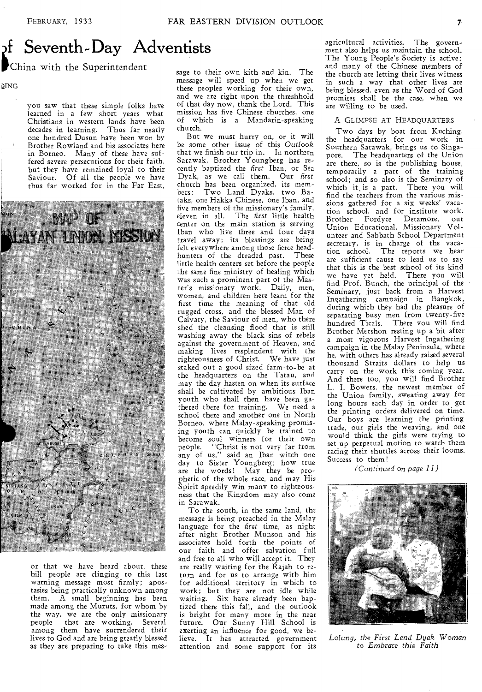# f Seventh-Day Adventists

### China with the Superintendent

DING

you saw that these simple folks have learned in a few short years what Christians in western lands have been decades in learning. Thus far nearly one hundred Dusun have been won by Brother Rowland and his associates here in Borneo. Many of these have suffered severe persecutions for their faith, but they have remained loyal to their Saviour. Of all the people we have thus far worked for in the Far East,



or that we have heard about, these hill people are clinging to this last warning message most firmly; apostasies being practically unknown among them. A small beginning has been made among the Muruts, for whom by the way, we are the only missionary people that are working. Several among them have surrendered their lives to God and are being greatly blessed as they are preparing to take this message to their own kith and kin. The message will speed up when we get these peoples working for their own, and we are right upon the threshhold of that day now, thank the Lord. This mission has five Chinese churches, one of which is a Mandarin-speaking church.

But we must hurry on, or it will be some other issue of this *Outlook*  that we finish our trip in. In northern Sarawak, Brother Youngberg has recently baptized the *first* Iban, or Sea Dyak, as we call them. Our *first*  church has been organized, its members: Two Land Dyaks, two Bataks, one Hakka Chinese, one Iban, and five members of the missionary's family, eleven in all. The *first* little health center on the main station is serving Iban who live three and four days travel away; its blessings are being felt everywhere among those fierce headhunters of the dreaded past. These little health centers set before the people the same fine ministry of healing which was such a prominent part of the Master's missionary work. Daily, men, women, and children here learn for the first time the meaning of that old rugged cross, and the blessed Man of Calvary, the Saviour of men, who there shed the cleansing flood that is still washing away the black sins of rebels against the government of Heaven, and making lives resplendent with the righteousness of Christ. We have just staked out a good sized farm-to-be at the headquarters on the Tatau, and may the day hasten on when its surface shall be cultivated by ambitious Iban youth who shall then have been gathered there for training. We need a school there and another one in North Borneo, where Malay-speaking promising youth can quickly be trained to become soul winners for their own<br>people. "Christ is not very far from "Christ is not very far from any of us," said an Iban witch one day to Sister Youngberg; how true are the words! May they be prophetic of the whole race, and may His Spirit speedily win many to righteousness that the Kingdom may also come in Sarawak.

To the south, in the same land, the message is being preached in the Malay language for the *first* time, as night after night Brother Munson and his associates hold forth the points of our faith and offer salvation full and free to all who will accept it. They are really waiting for the Rajah to r2 turn and for us to arrange with him for additional territory in which to work; but they are not idle while waiting. Six have already been baptized there this fall, and the outlook is bright for many more in the near future. Our Sunny Hill School is exerting an influence for good, we believe. It has attracted government attention and some support for its

agricultural activities. The government also helps us maintain the school. The Young People's Society is active; and many of the Chinese members of the church are letting their lives witness in such a way that other lives are being blessed, even as the Word of God promises shall be the case, when we are willing to be used.

#### A GLIMPSE AT HEADQUARTERS

Two days by boat from Kuching, the headquarters for our work in Southern Sarawak, brings us to Singapore. The headquarters of the Union are there, so is the publishing house, temporarily a part of the training school; and so also is the Seminary of which it, is a part. There you will find the teachers from the various missions gathered for a six weeks' vacation school, and for institute work. Brother Fordyce Detamore, our Union Educational, Missionary Volunteer and Sabbath School Department secretary, is in charge of the vaca-tion school. The reports we hear are sufficient cause to lead us to say that this is the best school of its kind we have yet held. There you will find Prof. Bunch, the principal of the Seminary, just back from a Harvest Ingathering campaign in Bangkok, during which they had the pleasure of separating busy men from twenty-five hundred Ticals. There you will find Brother Mershon resting up a bit after a most vigorous Harvest Ingathering campaign in the Malay Peninsula, where he, with others has already raised several thousand Straits dollars to help us carry on the work this coming year. And there too, you will find Brother L. I. Bowers, the newest member of the Union family, sweating away for long hours each day in order to get the printing orders delivered on time. Our boys are learning the printing trade, our girls the weaving, and one would think the girls were trying to set up perpetual motion to watch them racing their shuttles across their looms. Success to them!

(Continued on *page 11)* 



*Lolung, the First Land Dyak* Woman *to Embrace this Faith*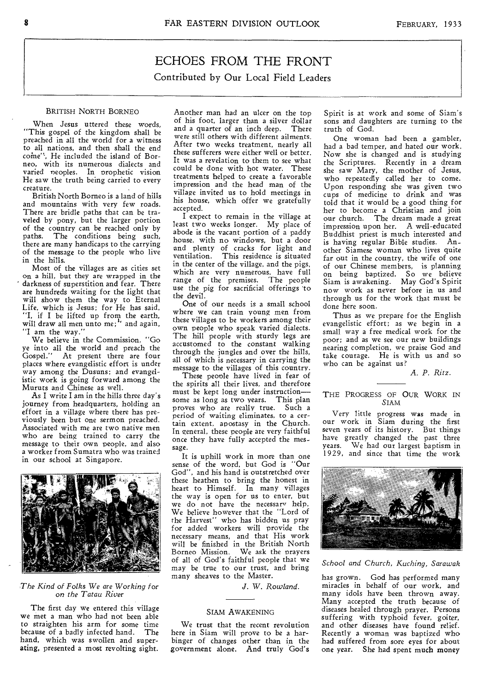### ECHOES FROM THE FRONT Contributed by Our Local Field Leaders

#### BRITISH NORTH BORNEO

When Jesus uttered these words, "This gospel of the kingdom shall be preached in all the world for a witness to all nations, and then shall the end come", He included the island of Borneo, with its numerous dialects and varied neoples. In prophetic vision He saw the truth being carried to every creature.

British North Borneo is a land of hills and mountains with very few roads. There are bridle paths that can be traveled by pony, but the larger portion of the country can be reached only by paths. The conditions being such, there are many handicaps to the carrying of the message to the people who live in the hills.

Most of the villages are as cities set on a hill, but they are wrapped in the darkness of superstition and fear. There are hundreds waiting for the light that will show them the way to Eternal Life, which is Jesus; for He has said, "I, if I be lifted up from the earth, will draw all men unto me;" and again, "I am the way."

We believe in the Commission, "Go ye into all the world and preach the Gospel." At present there are four places where evangelistic effort is under way among the Dusuns; and evangelistic work is going forward among the Muruts and Chinese as well.

As I write I am in the hills three day's journey from headquarters, holding an effort in a village where there has previously been but one sermon preached. Associated with me are two native men who are being trained to carry the message to their own people, and also a worker from Sumatra who was trained in our school at Singapore.



#### *The Kind of Folks We are Working for on the Tatau River*

The first day we entered this village we met a man who had not been able to straighten his arm for some time<br>because of a badly infected hand. The because of a badly infected hand. hand, which was swollen and superating, presented a most revolting sight. Another man had an ulcer on the top of his foot, larger than a silver dollar<br>and a quarter of an inch deep. There and a quarter of an inch deep. were still others with different ailments. After two weeks treatment, nearly all these sufferers were either well or better. It was a revelation to them to see what could be done with hot water. These treatments helped to create a favorable impression and the head man of the village invited us to hold meetings in his house, which offer we gratefully accepted.

I expect to remain in the village at least two weeks longer. My place of abode is the vacant portion of a paddy house, with no windows, but a door and plenty of cracks for light and ventilation. This residence is situated in the center of the village, and the pigs, which are very numerous, have full range of the premises. The people use the pig for sacrificial offerings 'to the devil.

One of our needs is a small school where we can train young men from these villages to be workers among their own people who speak varied dialects. The hill people with sturdy legs are accustomed to the constant walking through the jungles and over the hills, all of which is necessary in carrying the message to the villages of this country.

These people have lived in fear of the spirits all their lives, and therefore must be kept long under instruction some as long as two years. This plan proves who are really true. Such a period of waiting eliminates, to a certain extent, apostasy in the Church. In general, these people are very faithful once they have fully accepted the message.

It is uphill work in more than one sense of the word, but God is "Our God", and his hand is outstretched over these heathen to bring the honest in heart to Himself. In many villages the way is open for us to enter, but we do not have the necessary help. We believe however that the "Lord of the Harvest" who has bidden us pray for added workers will provide the necessary means, and that His work will be finished in the British North Borneo Mission. We ask the prayers of all of God's faithful people that we may be true to our trust, and bring many sheaves to the Master.

*J. W. Rowland.* 

#### SIAM AWAKENING

We trust that the recent revolution here in Siam will prove to be a harbinger of changes other than in the government alone. And truly God's Spirit is at work and some of Siam's sons and daughters are turning to the truth of God.

One woman had been a gambler, had a bad temper, and hated our work. Now she is changed and is studying the Scriptures. Recently in a dream she saw Mary, the mother of Jesus, who repeatedly called her to come. Upon responding she was given two cups of medicine to drink and was told that it would be a good thing for her to become a Christian and join our church. The dream made a great impression upon her. A well-educated Buddhist priest is much interested and is having regular Bible studies. Another Siamese woman who lives quite far out in the country, the wife of one of our Chinese members, is planning on being baptized. So we believe Siam is awakening. May God's Spirit now work as never before in us and through us for the work that must be done here soon.

Thus as we prepare for the English evangelistic effort; as we begin in a small way a free medical work for the poor; and as we see our new buildings nearing completion, we praise God and take courage. He is with us and so who can be against us?

#### *A. P. Ritz.*

THE PROGRESS OF OUR WORK IN SIAM

Very little progress was made in our work in Siam during the first seven years of its history. But things have greatly changed the past three years. We had our largest baptism in 1929, and since that time the work



*School and Church, Kuching, Sarawak* 

has grown. God has performed many miracles in behalf of our work, and many idols have been thrown away. Many accepted the truth because of diseases healed through prayer. Persons suffering with typhoid fever, goiter, and other diseases have found relief. Recently a woman was baptized who had suffered from sore eyes for about one year. She had spent much money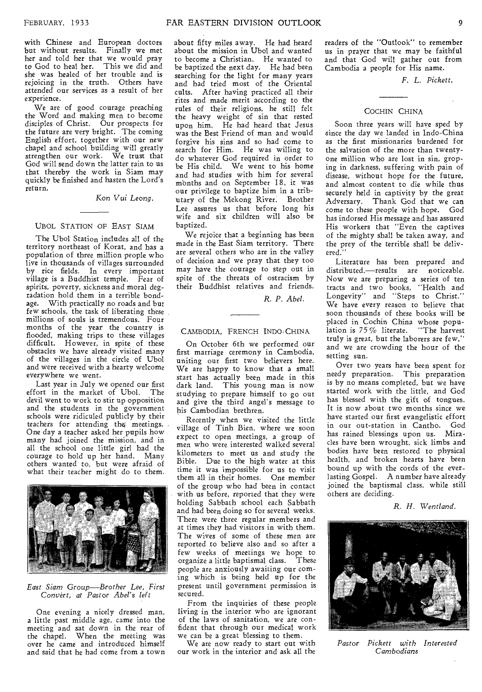with Chinese and European doctors but without results. Finally we met her and told her that we would pray to God to heal her. This we did and she was healed of her trouble and is rejoicing in the truth. Others have attended our services as a result of her experience.

We are of good courage preaching the Word and making men to become disciples of Christ. Our prospects for the future are very bright. The coming English effort, together with our new chapel and school building will greatly strengthen our work. We trust that God will send down the latter rain to us that thereby the work in Siam may quickly be finished and hasten the Lord's return.

Kon Vui Leong.

#### UBOL STATION OF EAST SIAM

The Ubol Station includes all of the territory northeast of Korat, and has a population of three million people who live in thousands of villages surrounded by rice fields. In every important village is a Buddhist temple. Fear of spirits, poverty, sickness and moral degradation hold them in a terrible bondage. With practically no roads and but few schools, the task of liberating these millions of souls is tremendous. Four months of the year the country is flooded, making trips to these villages difficult. However, in spite of these obstacles we have already visited many of the villages in the circle of Ubol and were received with a hearty welcome everywhere we went.

Last year in July we opened our first<br>fort in the market of Ubol. The effort in the market of Ubol. devil went to work to stir up opposition and the students in the government schools were ridiculed publicly by their teachers for attending the; meetings. One day a teacher asked her pupils how many had joined the mission, and in all the school one little girl had the courage to hold up her hand. Many others wanted to, but were afraid of what their teacher might do to them.



#### *East Siam Group—Brother Lee, First*  Convert, *at Pastor Abel's left*

One evening a nicely dressed man, a little past middle age, came into the meeting and sat down in the rear of the chapel. When the meeting was over he came and introduced himself and said that he had come from a town about fifty miles away. He had heard about the mission in Ubol and wanted to become a Christian. He wanted to be baptized the next day. He had been searching for the light for many years and had tried most of the Oriental cults. After having practiced all their rites and made merit according to the rules of their religions, he still felt the heavy weight of sin that rested upon him. He had heard that Jesus was the Best Friend of man and would forgive his sins and so had come to search for Him. He was willing to do whatever God required in order to be His child. We went to his home and had studies with him for several months and on September 18, it was our privilege to baptize him in a tributary of the Mekong River. Brother Lee assures us that before long his wife and six children will also be baptized.

We rejoice that a beginning has been made in the East Siam territory. There are several others who are in the valley of decision and we pray that they too may have the courage to step out in spite of the threats of ostracism by their Buddhist relatives and friends.

*R. P. Abel.* 

#### CAMBODIA, FRENCH INDO-CHINA.

On October 6th we performed our first marriage ceremony in Cambodia, uniting our first two believers here. We are happy to know that a small start has actually been made in this dark land. This young man is now studying to prepare himself to go out and give the third angel's message to his Cambodian brethren.

Recently when we visited the little village of Tinh Bien, where we soon expect to open meetings, a group of men who were interested walked several kilometers to meet us and study the Bible. Due to the high water at this time it was impossible for us to visit them all in their homes. One member of the group who had been in contact with us before, reported that they were holding Sabbath school each Sabbath and had been doing so for several weeks. There were three regular members and at times they had visitors in with them. The wives of some of these men are reported to believe also and so after a few weeks of meetings we hope to<br>organize a little baptismal class. These organize a little baptismal class. people are anxiously awaiting our coming which is being held up for the present until government permission is secured.

From the inquiries of these people living in the interior who are ignorant of the laws of sanitation, we are confident that through our medical work we can be a great blessing to them.

We are now ready to start out with our work in the interior and ask all the

readers of the "Outlook" to remember us in prayer that we may be faithful and that God will gather out from Cambodia a people for His name.

*F. L. Pickett.* 

#### COCHIN CHINA

Soon three years will have sped by since the day we landed in Indo-China as the first missionaries burdened for the salvation of the more than twentyone million who are lost in sin, groping in darkness, suffering with pain of disease, without hope for the future, and almost content to die while thus securely held in captivity by the great Adversary. Thank God that we can come to these people with hope. God has indorsed His message and has assured His workers that "Even the captives of the mighty shall be taken away, and the prey of the terrible shall be delivered."

Literature has been prepared and distributed,—results are noticeable. Now we are preparing a series of ten tracts and two books, "Health and Longevity" and "Steps to Christ." We have every reason to believe that soon thousands of these books will be placed in Cochin China whose population is 75% literate. "The harvest truly is great, but the laborers are few," and we are crowding the hour of the setting sun.

Over two years have been spent for needy preparation. This preparation is by no means completed, but we have started work with the little, and God has blessed with the gift of tongues. It is now about two months since we have started our first evangelistic effort in our out-station in Cantho. God has rained blessings upon us. Miracles have been wrought, sick limbs and bodies have been restored to physical health, and broken hearts have been bound up with the cords of the everlasting Gospel. A number have already joined the baptismal class, while still others are deciding.

*R. H. Wentland.* 



*Pastor Pickett with Interested Cambodians*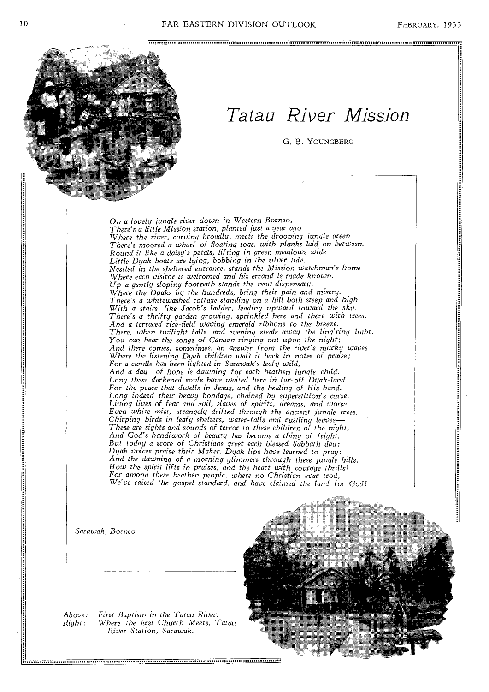

## *Tatau River Mission*

G. B. YOUNGBERG

*On a lovely jungle river down in Western Borneo, There's a little Mission station, planted just a year ago Where the river, curving broadly, meets the drooping jungle green There's moored a wharf of floating logs. with planks laid on between. Round it like a daisy's petals, lifting in green meadows wide Little Dyak boats are lying, bobbing in the silver tide. Nestled in the sheltered entrance, stands the Mission watchman's home Where each visitor is welcomed and his errand is made known. Up a gently sloping footpath stands the new dispensary, Where the Dyaks by the hundreds, bring their pain and misery. There's a whitewashed cottage standing on a hill both steep and high With a stairs, like Jacob's ladder, leading upward toward the sky. There's a thrifty garden growing, sprinkled here and there with trees, And a terraced rice-field waving emerald ribbons to the breeze. There, when twilight falls. and evening steals away the ling'ring light, You can hear the songs of Canaan ringing out* upon *the night; And there comes, sometimes, an answer from the river's murky waves Where the listening Dyak children waft it back in notes of praise; For a candle has been lighted in Sarawak's leafy wild, And a day of hope is dawning for each heathen jungle child. Long these darkened souls have waited here in far-off Dyak-land For the peace that dwells in Jesus, and the healing of His hand. Long indeed their heavy bondage, chained by superstition's curse, Living lives of fear and evil, slaves of spirits, dreams, and worse. Even white mist, strangely drifted through the ancient jungle trees. Chirping birds in leafy shelters, water-falls and rustling leaves— These are sights and sounds of terror to these children of the night, And God's handiwork of beauty has become a thing of fright. But today a score of Christians greet each blessed Sabbath day; Dyak voices praise their Maker, Dyak lips have learned to pray: And the dawning of a morning glimmers through these jungle hills, How the spirit lifts in praises, and the heart with courage thrills! For among these heathen people, where no Christian ever trod, We've raised the gospel standard, and have claimed the land for God!* 

*Sarawak, Borneo* 

*Above: First Baptism in the Tatau River. Right: Where the first Church Meets, Tatau River Station, Sarawak.* 

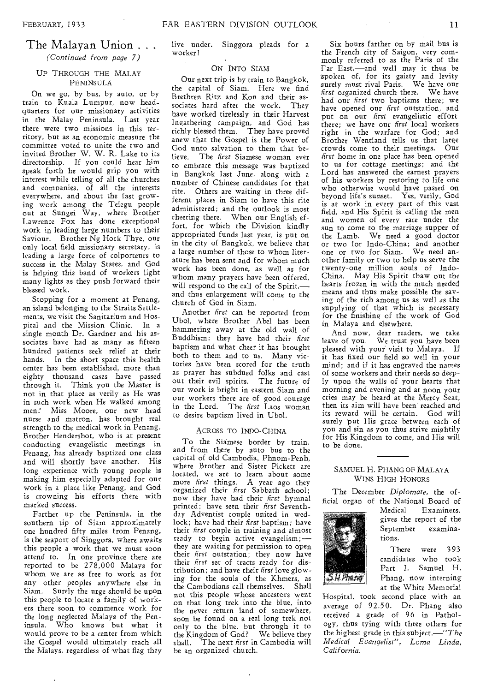### The Malayan Union . . .

*(Continued from page 7)* 

#### UP THROUGH THE MALAY PENINSULA

On we go, by bus, by auto, or by train to Kuala Lumpur, now headquarters for our missionary activities in the Malay Peninsula. Last year there were two missions in this territory, but as an economic measure the committee voted to unite the two and invited Brother W. W. R. Lake to its directorship. If you could hear him speak forth he would grip you with interest while telling of all the churches and companies, of all the interests everywhere, and about the fast growing work among the Telegu people out at Sungei Way, where Brother Lawrence Fox has done exceptional work in leading large numbers to their Saviour. Brother Ng Hock Thye, our only local field missionary secretary, is leading a large force of colporteurs to success in the Malay States, and God is helping this band of workers light many lights as they push forward their blessed work.

Stopping for a moment at Penang, an island belonging to the Straits Settlements, we visit the Sanitarium and Hospital and the Mission Clinic. In a single month Dr. Gardner and his associates have had as many as fifteen hundred patients seek relief at their hands. In the short space this health center has been established, more than eighty thousand cases have passed through it. Think you the Master is not in that place as verily as He was in such work when He walked among men? Miss Moore, our new head nurse and matron, has brought real strength to the medical work in Penang. Brother Hendershot, who is at present conducting evangelistic meetings in Penang, has already baptized one class and will shortly have another. His long experience with young people is making him especially adapted for our work in a place like Penang, and God is crowning his efforts there with marked success.

Farther up the Peninsula, in the southern tip of Siam approximately one hundred fifty miles from Penang, is the seaport of Singgora, where awaits this people a work that we must soon attend to. In one province there are reported to be 278,000 Malays for whom we are as free to work as for any other peoples anywhere else in Siam. Surely the urge should be upon this people to locate a family of workers there soon to commence work for the long neglected Malays of the Peninsula. Who knows but what it would prove to be a center from which the Gospel would ultimately reach all the Malays, regardless of what flag they

#### ON INTO SIAM

Our next trip is by train to Bangkok, the capital of Siam. Here we find Brethren Ritz and Kon and their associates hard after the work. They have worked tirelessly in their Harvest Ingathering campaign, and God has richly blessed them. They have proved anew that the Gospel is the Power of God unto salvation to them that believe. The *first* Siamese woman ever to embrace this message was baptized in Bangkok last June, along with a number of Chinese candidates for that rite. Others are waiting in three different places in Siam to have this rite administered; and the outlook is most cheering there. When our English effort, for which the Division kindly appropriated funds last year, is put on in the city of Bangkok, we believe that a large number of those to whom literature has been sent and for whom much work has been done, as well as for whom many prayers have been offered, will respond to the call of the Spirit, and thus enlargement will come to the church of God in Siam.

Another *first* can be reported from Ubol, where Brother Abel has been hammering away at the old wall of Buddhism; they have had their *first*  baptism and what cheer it has brought both to them and to us. Many victories have been scored for the truth as prayer has subdued folks and cast out their evil spirits. The future of our work is bright in eastern Siam and our workers there are of good courage in the Lord. The *first* Laos woman to desire baptism lived in Ubol.

#### ACROSS TO INDO-CHINA

To the Siamese border by train, and from there by auto bus to the capital of old Cambodia, Phnom-Penh, where Brother and Sister Pickett are located, we are to learn about some more *first* things, A year ago they organized their *first* Sabbath school; now they have had their *first* hymnal printed; have seen their *first* Seventhday Adventist couple united in wedlock; have had their *first* baptism; have their *first* couple in training and almost ready to begin active evangelism; they are waiting for permission to open their *first* outstation; they now have their *first* set of tracts ready for distribution; and have their *first* love glowing for the souls of the Khmers, as the Cambodians call themselves. Shall not this people whose ancestors went .on that long trek into the blue, into the never return land of somewhere, soon be found on a real long trek not only to the blue, but through it to the Kingdom of God? We believe they shall. The next *first* in Cambodia will be an organized church.

Six hours farther on by mail bus is the French city of Saigon, very commonly referred to as the Paris of the Far East,—and well may it thus be spoken of, for its gaiety and levity surely must rival Paris. We have our *first* organized church there. We have had our *first* two baptisms there; we have opened our *first* outstation, and put on our *first* evangelistic effort there; we have our *first* local workers right in the warfare for God; and Brother Wentland tells us that large crowds come to their meetings. Our *first* home in one place has been opened to us for cottage meetings; and the Lord has answered the earnest prayers of his workers by restoring to life one who otherwise would have passed on beyond life's sunset. Yes, verily, God is at work in every part of this vast field, and His Spirit is calling the men and women of every race under the sun to come to the marriage supper of the Lamb. We need a good doctor or two for Indo-China; and another one or two for Siam. We need another family or two to help us serve the twenty-one million souls of Indo-China. May His Spirit thaw out the hearts frozen in with the much needed means and thus make possible the saving of the rich among us as well *as* the supplying of that which is necessary for the finishing of the work of God in Malaya and elsewhere.

And now, dear readers, we take leave of you. We trust you have been pleased with your visit to Malaya. If it has fixed our field so well in your mind; and if it has engraved the names of some workers and their needs so deeply upon the walls of your hearts that morning and evening and at noon your cries may be beard at the Mercy Seat, then its aim will have been reached and its reward will be certain. God will surely put His grace between each of you and sin as you thus strive mightily for His Kingdom to come, and His will to be done.

#### SAMUEL H. PHANG OF MALAYA WINS HIGH HONORS

The December *Diplomate,* the official organ of the National Board of



Examiners. gives the report of the September examinations.

There were 393 candidates who took Part I. Samuel H. Phang, now interning at the White Memorial

Hospital, took second place with an average of 92.50. Dr. Phang also received a grade of 96 in Pathology, thus tying with three others for the highest grade in this subject.—"The *Medical Evangelist", Loma Linda, California.*